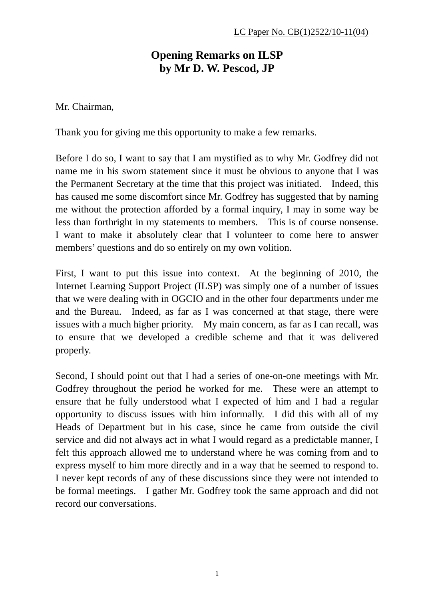## **Opening Remarks on ILSP by Mr D. W. Pescod, JP**

Mr. Chairman,

Thank you for giving me this opportunity to make a few remarks.

Before I do so, I want to say that I am mystified as to why Mr. Godfrey did not name me in his sworn statement since it must be obvious to anyone that I was the Permanent Secretary at the time that this project was initiated. Indeed, this has caused me some discomfort since Mr. Godfrey has suggested that by naming me without the protection afforded by a formal inquiry, I may in some way be less than forthright in my statements to members. This is of course nonsense. I want to make it absolutely clear that I volunteer to come here to answer members' questions and do so entirely on my own volition.

First, I want to put this issue into context. At the beginning of 2010, the Internet Learning Support Project (ILSP) was simply one of a number of issues that we were dealing with in OGCIO and in the other four departments under me and the Bureau. Indeed, as far as I was concerned at that stage, there were issues with a much higher priority. My main concern, as far as I can recall, was to ensure that we developed a credible scheme and that it was delivered properly.

Second, I should point out that I had a series of one-on-one meetings with Mr. Godfrey throughout the period he worked for me. These were an attempt to ensure that he fully understood what I expected of him and I had a regular opportunity to discuss issues with him informally. I did this with all of my Heads of Department but in his case, since he came from outside the civil service and did not always act in what I would regard as a predictable manner, I felt this approach allowed me to understand where he was coming from and to express myself to him more directly and in a way that he seemed to respond to. I never kept records of any of these discussions since they were not intended to be formal meetings. I gather Mr. Godfrey took the same approach and did not record our conversations.